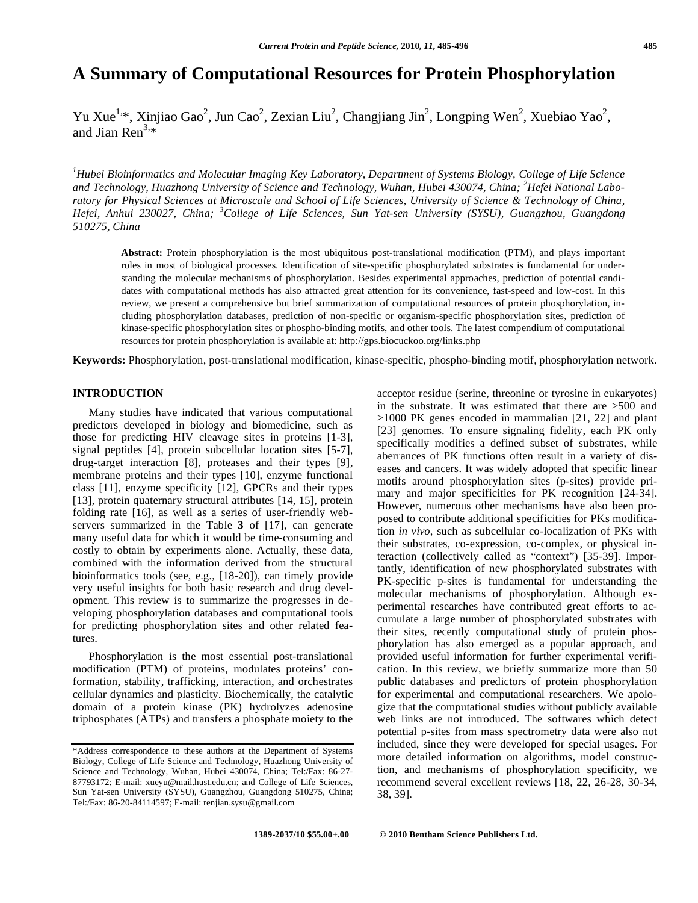# **A Summary of Computational Resources for Protein Phosphorylation**

Yu Xue<sup>1,\*</sup>, Xinjiao Gao<sup>2</sup>, Jun Cao<sup>2</sup>, Zexian Liu<sup>2</sup>, Changjiang Jin<sup>2</sup>, Longping Wen<sup>2</sup>, Xuebiao Yao<sup>2</sup>, and Jian Ren<sup>3,\*</sup>

*1 Hubei Bioinformatics and Molecular Imaging Key Laboratory, Department of Systems Biology, College of Life Science*  and Technology, Huazhong University of Science and Technology, Wuhan, Hubei 430074, China; <sup>2</sup>Hefei National Labo*ratory for Physical Sciences at Microscale and School of Life Sciences, University of Science & Technology of China, Hefei, Anhui 230027, China; <sup>3</sup> College of Life Sciences, Sun Yat-sen University (SYSU), Guangzhou, Guangdong 510275, China* 

**Abstract:** Protein phosphorylation is the most ubiquitous post-translational modification (PTM), and plays important roles in most of biological processes. Identification of site-specific phosphorylated substrates is fundamental for understanding the molecular mechanisms of phosphorylation. Besides experimental approaches, prediction of potential candidates with computational methods has also attracted great attention for its convenience, fast-speed and low-cost. In this review, we present a comprehensive but brief summarization of computational resources of protein phosphorylation, including phosphorylation databases, prediction of non-specific or organism-specific phosphorylation sites, prediction of kinase-specific phosphorylation sites or phospho-binding motifs, and other tools. The latest compendium of computational resources for protein phosphorylation is available at: http://gps.biocuckoo.org/links.php

**Keywords:** Phosphorylation, post-translational modification, kinase-specific, phospho-binding motif, phosphorylation network.

## **INTRODUCTION**

 Many studies have indicated that various computational predictors developed in biology and biomedicine, such as those for predicting HIV cleavage sites in proteins [1-3], signal peptides [4], protein subcellular location sites [5-7], drug-target interaction [8], proteases and their types [9], membrane proteins and their types [10], enzyme functional class [11], enzyme specificity [12], GPCRs and their types [13], protein quaternary structural attributes [14, 15], protein folding rate [16], as well as a series of user-friendly webservers summarized in the Table **3** of [17], can generate many useful data for which it would be time-consuming and costly to obtain by experiments alone. Actually, these data, combined with the information derived from the structural bioinformatics tools (see, e.g., [18-20]), can timely provide very useful insights for both basic research and drug development. This review is to summarize the progresses in developing phosphorylation databases and computational tools for predicting phosphorylation sites and other related features.

 Phosphorylation is the most essential post-translational modification (PTM) of proteins, modulates proteins' conformation, stability, trafficking, interaction, and orchestrates cellular dynamics and plasticity. Biochemically, the catalytic domain of a protein kinase (PK) hydrolyzes adenosine triphosphates (ATPs) and transfers a phosphate moiety to the

acceptor residue (serine, threonine or tyrosine in eukaryotes) in the substrate. It was estimated that there are >500 and >1000 PK genes encoded in mammalian [21, 22] and plant [23] genomes. To ensure signaling fidelity, each PK only specifically modifies a defined subset of substrates, while aberrances of PK functions often result in a variety of diseases and cancers. It was widely adopted that specific linear motifs around phosphorylation sites (p-sites) provide primary and major specificities for PK recognition [24-34]. However, numerous other mechanisms have also been proposed to contribute additional specificities for PKs modification *in vivo*, such as subcellular co-localization of PKs with their substrates, co-expression, co-complex, or physical interaction (collectively called as "context") [35-39]. Importantly, identification of new phosphorylated substrates with PK-specific p-sites is fundamental for understanding the molecular mechanisms of phosphorylation. Although experimental researches have contributed great efforts to accumulate a large number of phosphorylated substrates with their sites, recently computational study of protein phosphorylation has also emerged as a popular approach, and provided useful information for further experimental verification. In this review, we briefly summarize more than 50 public databases and predictors of protein phosphorylation for experimental and computational researchers. We apologize that the computational studies without publicly available web links are not introduced. The softwares which detect potential p-sites from mass spectrometry data were also not included, since they were developed for special usages. For more detailed information on algorithms, model construction, and mechanisms of phosphorylation specificity, we recommend several excellent reviews [18, 22, 26-28, 30-34, 38, 39].

<sup>\*</sup>Address correspondence to these authors at the Department of Systems Biology, College of Life Science and Technology, Huazhong University of Science and Technology, Wuhan, Hubei 430074, China; Tel:/Fax: 86-27- 87793172; E-mail: xueyu@mail.hust.edu.cn; and College of Life Sciences, Sun Yat-sen University (SYSU), Guangzhou, Guangdong 510275, China; Tel:/Fax: 86-20-84114597; E-mail: renjian.sysu@gmail.com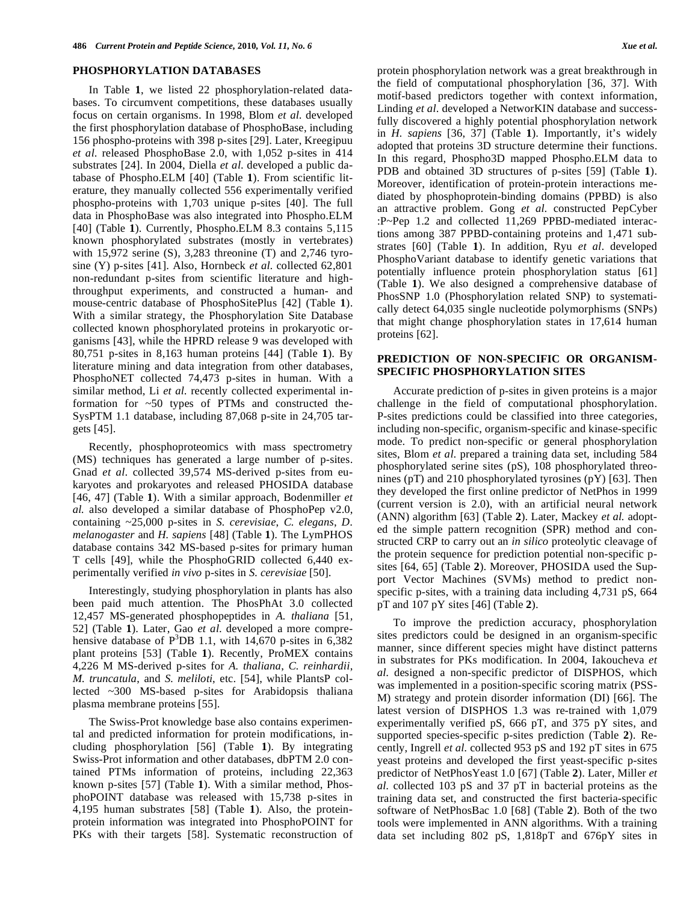## **PHOSPHORYLATION DATABASES**

 In Table **1**, we listed 22 phosphorylation-related databases. To circumvent competitions, these databases usually focus on certain organisms. In 1998, Blom *et al*. developed the first phosphorylation database of PhosphoBase, including 156 phospho-proteins with 398 p-sites [29]. Later, Kreegipuu *et al*. released PhosphoBase 2.0, with 1,052 p-sites in 414 substrates [24]. In 2004, Diella *et al*. developed a public database of Phospho.ELM [40] (Table **1**). From scientific literature, they manually collected 556 experimentally verified phospho-proteins with 1,703 unique p-sites [40]. The full data in PhosphoBase was also integrated into Phospho.ELM [40] (Table **1**). Currently, Phospho.ELM 8.3 contains 5,115 known phosphorylated substrates (mostly in vertebrates) with 15,972 serine (S), 3,283 threonine (T) and 2,746 tyrosine (Y) p-sites [41]. Also, Hornbeck *et al.* collected 62,801 non-redundant p-sites from scientific literature and highthroughput experiments, and constructed a human- and mouse-centric database of PhosphoSitePlus [42] (Table **1**). With a similar strategy, the Phosphorylation Site Database collected known phosphorylated proteins in prokaryotic organisms [43], while the HPRD release 9 was developed with 80,751 p-sites in 8,163 human proteins [44] (Table **1**). By literature mining and data integration from other databases, PhosphoNET collected 74,473 p-sites in human. With a similar method, Li *et al*. recently collected experimental information for ~50 types of PTMs and constructed the-SysPTM 1.1 database, including 87,068 p-site in 24,705 targets [45].

 Recently, phosphoproteomics with mass spectrometry (MS) techniques has generated a large number of p-sites. Gnad *et al*. collected 39,574 MS-derived p-sites from eukaryotes and prokaryotes and released PHOSIDA database [46, 47] (Table **1**). With a similar approach, Bodenmiller *et al.* also developed a similar database of PhosphoPep v2.0, containing ~25,000 p-sites in *S. cerevisiae*, *C. elegans*, *D. melanogaster* and *H. sapiens* [48] (Table **1**). The LymPHOS database contains 342 MS-based p-sites for primary human T cells [49], while the PhosphoGRID collected 6,440 experimentally verified *in vivo* p-sites in *S. cerevisiae* [50].

 Interestingly, studying phosphorylation in plants has also been paid much attention. The PhosPhAt 3.0 collected 12,457 MS-generated phosphopeptides in *A. thaliana* [51, 52] (Table **1**). Later, Gao *et al*. developed a more comprehensive database of  $P^3DB$  1.1, with 14,670 p-sites in 6,382 plant proteins [53] (Table **1**). Recently, ProMEX contains 4,226 M MS-derived p-sites for *A. thaliana*, *C. reinhardii*, *M. truncatula*, and *S. meliloti*, etc. [54], while PlantsP collected ~300 MS-based p-sites for Arabidopsis thaliana plasma membrane proteins [55].

 The Swiss-Prot knowledge base also contains experimental and predicted information for protein modifications, including phosphorylation [56] (Table **1**). By integrating Swiss-Prot information and other databases, dbPTM 2.0 contained PTMs information of proteins, including 22,363 known p-sites [57] (Table **1**). With a similar method, PhosphoPOINT database was released with 15,738 p-sites in 4,195 human substrates [58] (Table **1**). Also, the proteinprotein information was integrated into PhosphoPOINT for PKs with their targets [58]. Systematic reconstruction of protein phosphorylation network was a great breakthrough in the field of computational phosphorylation [36, 37]. With motif-based predictors together with context information, Linding *et al*. developed a NetworKIN database and successfully discovered a highly potential phosphorylation network in *H. sapiens* [36, 37] (Table **1**). Importantly, it's widely adopted that proteins 3D structure determine their functions. In this regard, Phospho3D mapped Phospho.ELM data to PDB and obtained 3D structures of p-sites [59] (Table **1**). Moreover, identification of protein-protein interactions mediated by phosphoprotein-binding domains (PPBD) is also an attractive problem. Gong *et al*. constructed PepCyber :P~Pep 1.2 and collected 11,269 PPBD-mediated interactions among 387 PPBD-containing proteins and 1,471 substrates [60] (Table **1**). In addition, Ryu *et al*. developed PhosphoVariant database to identify genetic variations that potentially influence protein phosphorylation status [61] (Table **1**). We also designed a comprehensive database of PhosSNP 1.0 (Phosphorylation related SNP) to systematically detect 64,035 single nucleotide polymorphisms (SNPs) that might change phosphorylation states in 17,614 human proteins [62].

# **PREDICTION OF NON-SPECIFIC OR ORGANISM-SPECIFIC PHOSPHORYLATION SITES**

 Accurate prediction of p-sites in given proteins is a major challenge in the field of computational phosphorylation. P-sites predictions could be classified into three categories, including non-specific, organism-specific and kinase-specific mode. To predict non-specific or general phosphorylation sites, Blom *et al*. prepared a training data set, including 584 phosphorylated serine sites (pS), 108 phosphorylated threonines (pT) and 210 phosphorylated tyrosines (pY) [63]. Then they developed the first online predictor of NetPhos in 1999 (current version is 2.0), with an artificial neural network (ANN) algorithm [63] (Table **2**). Later, Mackey *et al.* adopted the simple pattern recognition (SPR) method and constructed CRP to carry out an *in silico* proteolytic cleavage of the protein sequence for prediction potential non-specific psites [64, 65] (Table **2**). Moreover, PHOSIDA used the Support Vector Machines (SVMs) method to predict nonspecific p-sites, with a training data including 4,731 pS, 664 pT and 107 pY sites [46] (Table **2**).

 To improve the prediction accuracy, phosphorylation sites predictors could be designed in an organism-specific manner, since different species might have distinct patterns in substrates for PKs modification. In 2004, Iakoucheva *et al*. designed a non-specific predictor of DISPHOS, which was implemented in a position-specific scoring matrix (PSS-M) strategy and protein disorder information (DI) [66]. The latest version of DISPHOS 1.3 was re-trained with 1,079 experimentally verified pS, 666 pT, and 375 pY sites, and supported species-specific p-sites prediction (Table **2**). Recently, Ingrell *et al*. collected 953 pS and 192 pT sites in 675 yeast proteins and developed the first yeast-specific p-sites predictor of NetPhosYeast 1.0 [67] (Table **2**). Later, Miller *et al*. collected 103 pS and 37 pT in bacterial proteins as the training data set, and constructed the first bacteria-specific software of NetPhosBac 1.0 [68] (Table **2**). Both of the two tools were implemented in ANN algorithms. With a training data set including 802 pS, 1,818pT and 676pY sites in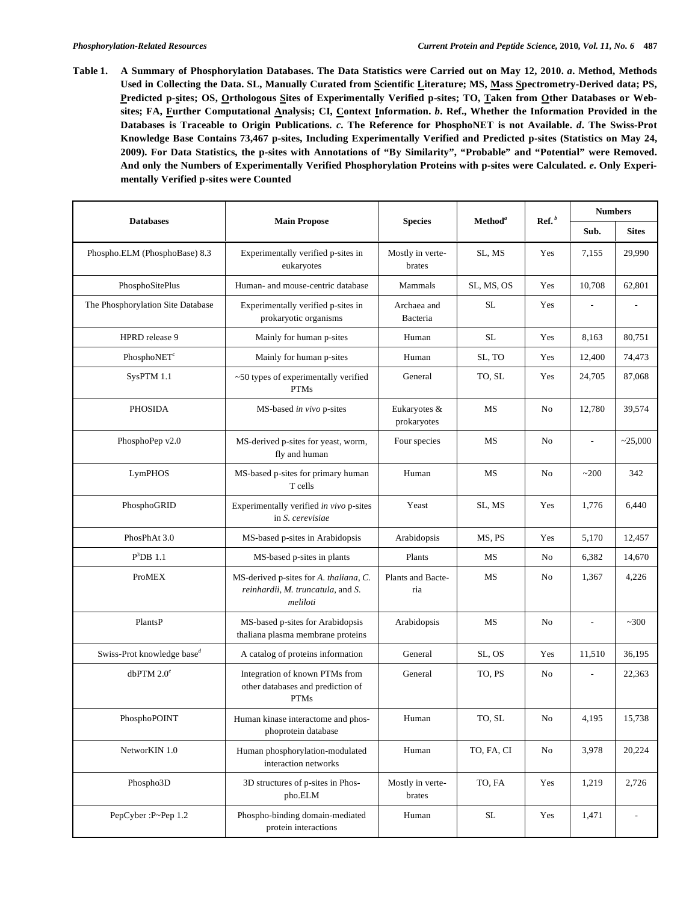**Table 1. A Summary of Phosphorylation Databases. The Data Statistics were Carried out on May 12, 2010.** *a***. Method, Methods Used in Collecting the Data. SL, Manually Curated from Scientific Literature; MS, Mass Spectrometry-Derived data; PS,**  Predicted p-sites; OS, Orthologous Sites of Experimentally Verified p-sites; TO, Taken from Other Databases or Web**sites; FA, Further Computational Analysis; CI, Context Information.** *b***. Ref., Whether the Information Provided in the Databases is Traceable to Origin Publications.** *c***. The Reference for PhosphoNET is not Available.** *d***. The Swiss-Prot Knowledge Base Contains 73,467 p-sites, Including Experimentally Verified and Predicted p-sites (Statistics on May 24, 2009). For Data Statistics, the p-sites with Annotations of "By Similarity", "Probable" and "Potential" were Removed. And only the Numbers of Experimentally Verified Phosphorylation Proteins with p-sites were Calculated.** *e***. Only Experimentally Verified p-sites were Counted** 

| <b>Databases</b>                                    | <b>Main Propose</b>                                                                     | <b>Species</b><br>Method <sup>a</sup> |            |                |                          |                |  | $\operatorname{Ref.}^b$ |  | <b>Numbers</b> |  |
|-----------------------------------------------------|-----------------------------------------------------------------------------------------|---------------------------------------|------------|----------------|--------------------------|----------------|--|-------------------------|--|----------------|--|
|                                                     |                                                                                         |                                       |            |                | Sub.                     | <b>Sites</b>   |  |                         |  |                |  |
| Phospho.ELM (PhosphoBase) 8.3                       | Experimentally verified p-sites in<br>eukaryotes                                        | Mostly in verte-<br>brates            | SL, MS     | Yes            | 7,155                    | 29,990         |  |                         |  |                |  |
| PhosphoSitePlus                                     | Human- and mouse-centric database                                                       | Mammals                               | SL, MS, OS | Yes            | 10,708                   | 62,801         |  |                         |  |                |  |
| The Phosphorylation Site Database                   | Experimentally verified p-sites in<br>prokaryotic organisms                             | Archaea and<br>Bacteria               | <b>SL</b>  | Yes            |                          |                |  |                         |  |                |  |
| HPRD release 9                                      | Mainly for human p-sites                                                                | Human                                 | SL         | Yes            | 8.163                    | 80,751         |  |                         |  |                |  |
| PhosphoNET $^c$                                     | Mainly for human p-sites                                                                | Human                                 | SL, TO     | Yes            | 12,400                   | 74,473         |  |                         |  |                |  |
| SysPTM 1.1                                          | ~50 types of experimentally verified<br><b>PTMs</b>                                     | General                               | TO, SL     | Yes            | 24,705                   | 87,068         |  |                         |  |                |  |
| <b>PHOSIDA</b>                                      | MS-based in vivo p-sites                                                                | Eukaryotes &<br>prokaryotes           | <b>MS</b>  | N <sub>0</sub> | 12,780                   | 39,574         |  |                         |  |                |  |
| PhosphoPep v2.0                                     | MS-derived p-sites for yeast, worm,<br>fly and human                                    | Four species                          | MS         | No             | $\overline{\phantom{a}}$ | ~25,000        |  |                         |  |                |  |
| LymPHOS                                             | MS-based p-sites for primary human<br>T cells                                           | Human                                 | MS         | No             | ~200                     | 342            |  |                         |  |                |  |
| PhosphoGRID                                         | Experimentally verified in vivo p-sites<br>in S. cerevisiae                             | Yeast                                 | SL, MS     | Yes            | 1,776                    | 6,440          |  |                         |  |                |  |
| PhosPhAt 3.0                                        | MS-based p-sites in Arabidopsis                                                         | Arabidopsis                           | MS, PS     | Yes            | 5,170                    | 12,457         |  |                         |  |                |  |
| $P^3DB$ 1.1                                         | MS-based p-sites in plants                                                              | Plants                                | MS         | No             | 6,382                    | 14,670         |  |                         |  |                |  |
| <b>ProMEX</b>                                       | MS-derived p-sites for A. thaliana, C.<br>reinhardii, M. truncatula, and S.<br>meliloti | Plants and Bacte-<br>ria              | MS         | No             | 1,367                    | 4,226          |  |                         |  |                |  |
| PlantsP                                             | MS-based p-sites for Arabidopsis<br>thaliana plasma membrane proteins                   | Arabidopsis                           | MS         | No             |                          | ~100           |  |                         |  |                |  |
| Swiss-Prot knowledge base <sup><math>d</math></sup> | A catalog of proteins information                                                       | General                               | SL, OS     | Yes            | 11,510                   | 36,195         |  |                         |  |                |  |
| dbPTM $2.0^e$                                       | Integration of known PTMs from<br>other databases and prediction of<br><b>PTMs</b>      | General                               | TO, PS     | No             | $\overline{a}$           | 22,363         |  |                         |  |                |  |
| PhosphoPOINT                                        | Human kinase interactome and phos-<br>phoprotein database                               | Human                                 | TO, SL     | No             | 4,195                    | 15,738         |  |                         |  |                |  |
| NetworKIN 1.0                                       | Human phosphorylation-modulated<br>interaction networks                                 | Human                                 | TO, FA, CI | No             | 3,978                    | 20,224         |  |                         |  |                |  |
| Phospho3D                                           | 3D structures of p-sites in Phos-<br>pho.ELM                                            | Mostly in verte-<br>brates            | TO, FA     | Yes            | 1,219                    | 2,726          |  |                         |  |                |  |
| PepCyber: P~Pep 1.2                                 | Phospho-binding domain-mediated<br>protein interactions                                 | Human                                 | $\rm SL$   | Yes            | 1,471                    | $\overline{a}$ |  |                         |  |                |  |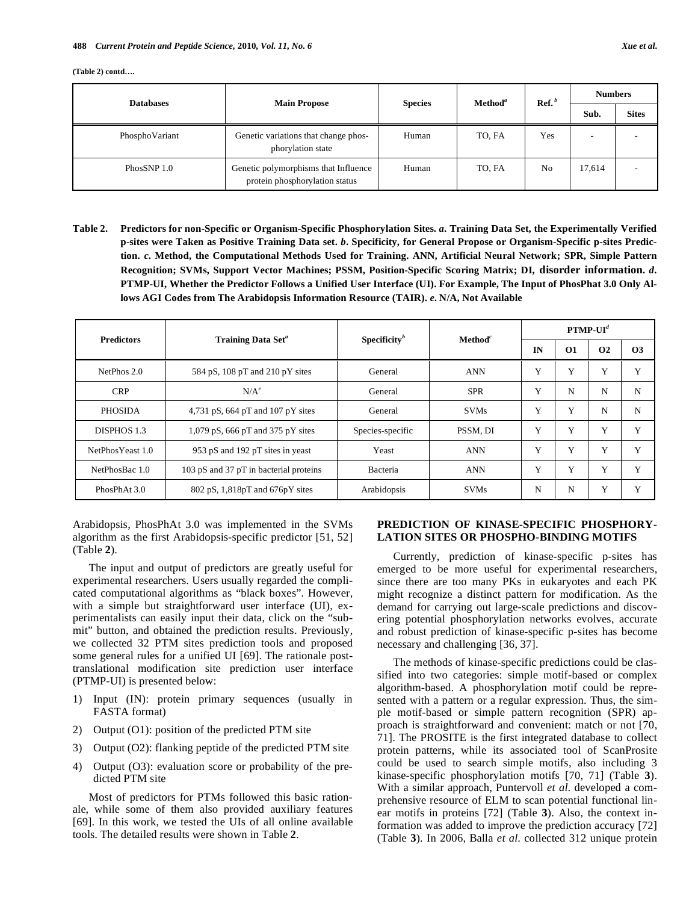**(Table 2) contd….** 

| <b>Databases</b> | <b>Main Propose</b>                                                    | Method <sup>a</sup><br><b>Species</b> | $\mathbf{Ref.}^b$ | <b>Numbers</b> |        |              |
|------------------|------------------------------------------------------------------------|---------------------------------------|-------------------|----------------|--------|--------------|
|                  |                                                                        |                                       |                   |                | Sub.   | <b>Sites</b> |
| PhosphoVariant   | Genetic variations that change phos-<br>phorylation state              | Human                                 | TO, FA            | Yes            |        |              |
| PhosSNP 1.0      | Genetic polymorphisms that Influence<br>protein phosphorylation status | Human                                 | TO, FA            | No             | 17,614 |              |

**Table 2. Predictors for non-Specific or Organism-Specific Phosphorylation Sites.** *a***. Training Data Set, the Experimentally Verified p-sites were Taken as Positive Training Data set.** *b***. Specificity, for General Propose or Organism-Specific p-sites Prediction.** *c***. Method, the Computational Methods Used for Training. ANN, Artificial Neural Network; SPR, Simple Pattern Recognition; SVMs, Support Vector Machines; PSSM, Position-Specific Scoring Matrix; DI, disorder information.** *d***. PTMP-UI, Whether the Predictor Follows a Unified User Interface (UI). For Example, The Input of PhosPhat 3.0 Only Allows AGI Codes from The Arabidopsis Information Resource (TAIR).** *e***. N/A, Not Available** 

| <b>Predictors</b> | Training Data Set <sup>a</sup>         | Specificity $\mathbf{v}^b$ | $\mathbf{Method}^c$ | $PTMP-UI^d$ |          |                      |           |  |
|-------------------|----------------------------------------|----------------------------|---------------------|-------------|----------|----------------------|-----------|--|
|                   |                                        |                            |                     | IN          | $\Omega$ | <b>O<sub>2</sub></b> | <b>O3</b> |  |
| NetPhos 2.0       | 584 pS, 108 pT and 210 pY sites        | General                    | <b>ANN</b>          | Y           | Y        | Y                    | Y         |  |
| <b>CRP</b>        | $N/A^e$                                | General                    | <b>SPR</b>          | Y           | N        | N                    | N         |  |
| <b>PHOSIDA</b>    | 4,731 pS, 664 pT and 107 pY sites      | General                    | <b>SVMs</b>         | Y           | Y        | N                    | N         |  |
| DISPHOS 1.3       | 1,079 pS, 666 pT and 375 pY sites      | Species-specific           | PSSM. DI            | Y           | Y        | Y                    | Y         |  |
| NetPhosYeast 1.0  | 953 pS and 192 pT sites in yeast       | Yeast                      | <b>ANN</b>          | Y           | Y        | Y                    | Y         |  |
| NetPhosBac 1.0    | 103 pS and 37 pT in bacterial proteins | Bacteria                   | <b>ANN</b>          | Y           | Y        | Y                    | Y         |  |
| PhosPhAt 3.0      | 802 pS, 1,818pT and 676pY sites        | Arabidopsis                | <b>SVMs</b>         | N           | N        | Y                    | Y         |  |

Arabidopsis, PhosPhAt 3.0 was implemented in the SVMs algorithm as the first Arabidopsis-specific predictor [51, 52] (Table **2**).

 The input and output of predictors are greatly useful for experimental researchers. Users usually regarded the complicated computational algorithms as "black boxes". However, with a simple but straightforward user interface (UI), experimentalists can easily input their data, click on the "submit" button, and obtained the prediction results. Previously, we collected 32 PTM sites prediction tools and proposed some general rules for a unified UI [69]. The rationale posttranslational modification site prediction user interface (PTMP-UI) is presented below:

- 1) Input (IN): protein primary sequences (usually in FASTA format)
- 2) Output (O1): position of the predicted PTM site
- 3) Output (O2): flanking peptide of the predicted PTM site
- 4) Output (O3): evaluation score or probability of the predicted PTM site

 Most of predictors for PTMs followed this basic rationale, while some of them also provided auxiliary features [69]. In this work, we tested the UIs of all online available tools. The detailed results were shown in Table **2**.

# **PREDICTION OF KINASE-SPECIFIC PHOSPHORY-LATION SITES OR PHOSPHO-BINDING MOTIFS**

 Currently, prediction of kinase-specific p-sites has emerged to be more useful for experimental researchers, since there are too many PKs in eukaryotes and each PK might recognize a distinct pattern for modification. As the demand for carrying out large-scale predictions and discovering potential phosphorylation networks evolves, accurate and robust prediction of kinase-specific p-sites has become necessary and challenging [36, 37].

 The methods of kinase-specific predictions could be classified into two categories: simple motif-based or complex algorithm-based. A phosphorylation motif could be represented with a pattern or a regular expression. Thus, the simple motif-based or simple pattern recognition (SPR) approach is straightforward and convenient: match or not [70, 71]. The PROSITE is the first integrated database to collect protein patterns, while its associated tool of ScanProsite could be used to search simple motifs, also including 3 kinase-specific phosphorylation motifs [70, 71] (Table **3**). With a similar approach, Puntervoll *et al*. developed a comprehensive resource of ELM to scan potential functional linear motifs in proteins [72] (Table **3**). Also, the context information was added to improve the prediction accuracy [72] (Table **3**). In 2006, Balla *et al*. collected 312 unique protein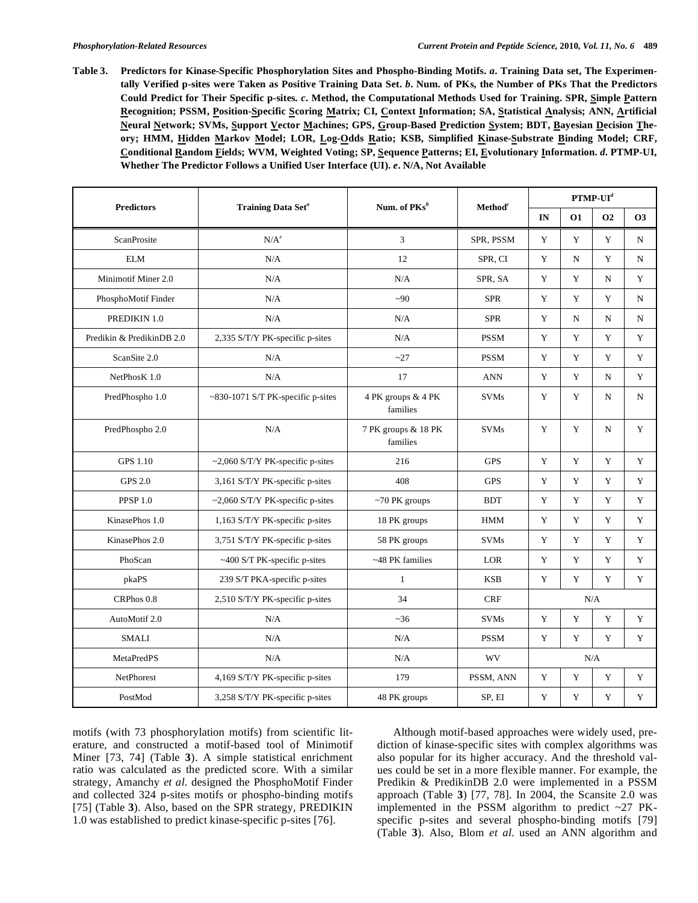**Table 3. Predictors for Kinase-Specific Phosphorylation Sites and Phospho-Binding Motifs.** *a***. Training Data set, The Experimentally Verified p-sites were Taken as Positive Training Data Set.** *b***. Num. of PKs, the Number of PKs That the Predictors Could Predict for Their Specific p-sites.** *c***. Method, the Computational Methods Used for Training. SPR, Simple Pattern Recognition; PSSM, Position-Specific Scoring Matrix; CI, Context Information; SA, Statistical Analysis; ANN, Artificial Neural Network; SVMs, Support Vector Machines; GPS, Group-Based Prediction System; BDT, Bayesian Decision Theory; HMM, Hidden Markov Model; LOR, Log-Odds Ratio; KSB, Simplified Kinase-Substrate Binding Model; CRF, Conditional Random Fields; WVM, Weighted Voting; SP, Sequence Patterns; EI, Evolutionary Information.** *d***. PTMP-UI, Whether The Predictor Follows a Unified User Interface (UI).** *e***. N/A, Not Available** 

|                           |                                        |                                                |                     | $PTMP-UId$  |             |             |             |  |
|---------------------------|----------------------------------------|------------------------------------------------|---------------------|-------------|-------------|-------------|-------------|--|
| <b>Predictors</b>         | Training Data Set <sup>a</sup>         | Num. of $PKs^b$                                | Method <sup>c</sup> | IN          | <b>O1</b>   | <b>O2</b>   | <b>O3</b>   |  |
| ScanProsite               | $N/A^e$                                | 3                                              | SPR, PSSM           | Y           | Y           | Y           | N           |  |
| <b>ELM</b>                | N/A                                    | 12                                             | SPR, CI             | Y           | N           | Y           | N           |  |
| Minimotif Miner 2.0       | N/A                                    | N/A                                            | SPR, SA             | Y           | $\mathbf Y$ | N           | Y           |  |
| PhosphoMotif Finder       | N/A                                    | $-90$                                          | <b>SPR</b>          | Y           | $\mathbf Y$ | Y           | $_{\rm N}$  |  |
| PREDIKIN 1.0              | N/A                                    | N/A                                            | <b>SPR</b>          | Y           | N           | N           | N           |  |
| Predikin & PredikinDB 2.0 | 2,335 S/T/Y PK-specific p-sites        | N/A                                            | <b>PSSM</b>         | Y           | Y           | Y           | Y           |  |
| ScanSite 2.0              | N/A                                    | $-27$                                          | <b>PSSM</b>         | Y           | Y           | Y           | Y           |  |
| NetPhosK 1.0              | N/A                                    | 17                                             | <b>ANN</b>          | Y           | $\mathbf Y$ | N           | Y           |  |
| PredPhospho 1.0           | ~830-1071 S/T PK-specific p-sites      | 4 PK groups & 4 PK<br><b>SVMs</b><br>families  |                     | Y           | $\mathbf Y$ | N           | N           |  |
| PredPhospho 2.0           | N/A                                    | <b>SVMs</b><br>7 PK groups & 18 PK<br>families |                     | Y           | Y           | $\mathbf N$ | Y           |  |
| <b>GPS 1.10</b>           | $\sim$ 2,060 S/T/Y PK-specific p-sites | 216                                            | <b>GPS</b>          | Y           | Y           | Y           | Y           |  |
| <b>GPS 2.0</b>            | 3,161 S/T/Y PK-specific p-sites        | 408                                            | <b>GPS</b>          | Y           | Y           | Y           | Y           |  |
| <b>PPSP 1.0</b>           | ~2,060 S/T/Y PK-specific p-sites       | $~10$ PK groups                                | <b>BDT</b>          | Y           | Y           | Y           | Y           |  |
| KinasePhos 1.0            | 1,163 S/T/Y PK-specific p-sites        | 18 PK groups                                   | <b>HMM</b>          | $\mathbf Y$ | Y           | Y           | Y           |  |
| KinasePhos 2.0            | 3,751 S/T/Y PK-specific p-sites        | 58 PK groups                                   | <b>SVMs</b>         | Y           | Y           | Y           | Y           |  |
| PhoScan                   | ~400 S/T PK-specific p-sites           | ~48 PK families                                | LOR                 |             | Y           | Y           | Y           |  |
| pkaPS                     | 239 S/T PKA-specific p-sites           | $\mathbf{1}$                                   | <b>KSB</b>          | Y           | Y           | Y           | Y           |  |
| CRPhos 0.8                | 2,510 S/T/Y PK-specific p-sites        | 34                                             | <b>CRF</b>          | N/A         |             |             |             |  |
| AutoMotif 2.0             | N/A                                    | ~236                                           | <b>SVMs</b>         | Y           | Y           | Y           | Y           |  |
| <b>SMALI</b>              | N/A                                    | N/A                                            | <b>PSSM</b>         | Y           | Y           | Y           | Y           |  |
| <b>MetaPredPS</b>         | N/A                                    | N/A                                            | WV                  |             |             | N/A         |             |  |
| NetPhorest                | 4,169 S/T/Y PK-specific p-sites        | 179                                            | PSSM, ANN           | $\mathbf Y$ | $\mathbf Y$ | $\mathbf Y$ | Y           |  |
| PostMod                   | 3,258 S/T/Y PK-specific p-sites        | 48 PK groups                                   | SP, EI              | $\mathbf Y$ | Y           | $\mathbf Y$ | $\mathbf Y$ |  |

motifs (with 73 phosphorylation motifs) from scientific literature, and constructed a motif-based tool of Minimotif Miner [73, 74] (Table **3**). A simple statistical enrichment ratio was calculated as the predicted score. With a similar strategy, Amanchy *et al*. designed the PhosphoMotif Finder and collected 324 p-sites motifs or phospho-binding motifs [75] (Table **3**). Also, based on the SPR strategy, PREDIKIN 1.0 was established to predict kinase-specific p-sites [76].

 Although motif-based approaches were widely used, prediction of kinase-specific sites with complex algorithms was also popular for its higher accuracy. And the threshold values could be set in a more flexible manner. For example, the Predikin & PredikinDB 2.0 were implemented in a PSSM approach (Table **3**) [77, 78]. In 2004, the Scansite 2.0 was implemented in the PSSM algorithm to predict  $\sim$  27 PKspecific p-sites and several phospho-binding motifs [79] (Table **3**). Also, Blom *et al*. used an ANN algorithm and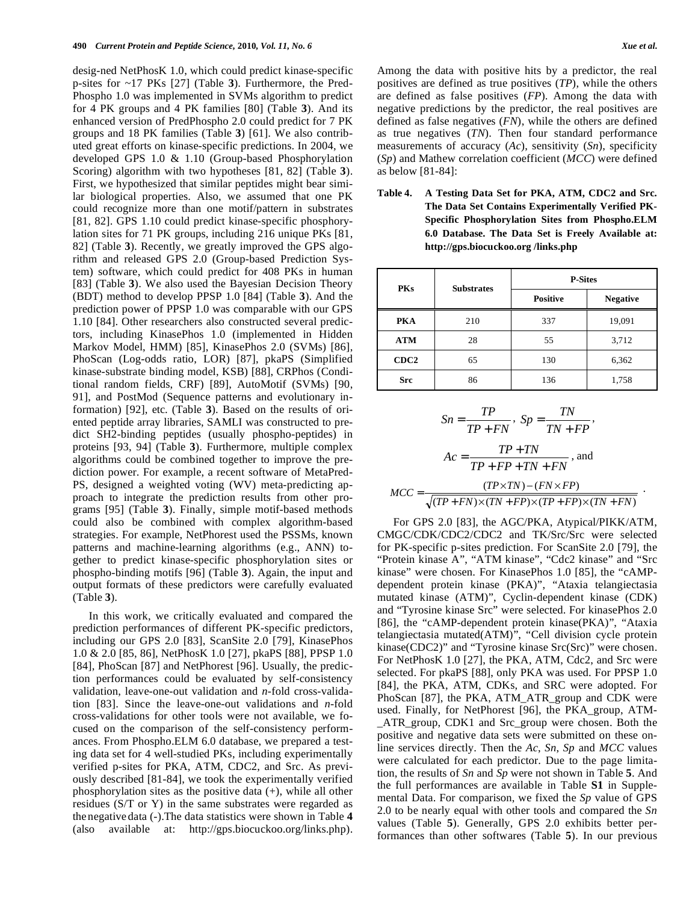desig-ned NetPhosK 1.0, which could predict kinase-specific p-sites for ~17 PKs [27] (Table **3**). Furthermore, the Pred-Phospho 1.0 was implemented in SVMs algorithm to predict for 4 PK groups and 4 PK families [80] (Table **3**). And its enhanced version of PredPhospho 2.0 could predict for 7 PK groups and 18 PK families (Table **3**) [61]. We also contributed great efforts on kinase-specific predictions. In 2004, we developed GPS 1.0 & 1.10 (Group-based Phosphorylation Scoring) algorithm with two hypotheses [81, 82] (Table **3**). First, we hypothesized that similar peptides might bear similar biological properties. Also, we assumed that one PK could recognize more than one motif/pattern in substrates [81, 82]. GPS 1.10 could predict kinase-specific phosphorylation sites for 71 PK groups, including 216 unique PKs [81, 82] (Table **3**). Recently, we greatly improved the GPS algorithm and released GPS 2.0 (Group-based Prediction System) software, which could predict for 408 PKs in human [83] (Table **3**). We also used the Bayesian Decision Theory (BDT) method to develop PPSP 1.0 [84] (Table **3**). And the prediction power of PPSP 1.0 was comparable with our GPS 1.10 [84]. Other researchers also constructed several predictors, including KinasePhos 1.0 (implemented in Hidden Markov Model, HMM) [85], KinasePhos 2.0 (SVMs) [86], PhoScan (Log-odds ratio, LOR) [87], pkaPS (Simplified kinase-substrate binding model, KSB) [88], CRPhos (Conditional random fields, CRF) [89], AutoMotif (SVMs) [90, 91], and PostMod (Sequence patterns and evolutionary information) [92], etc. (Table **3**). Based on the results of oriented peptide array libraries, SAMLI was constructed to predict SH2-binding peptides (usually phospho-peptides) in proteins [93, 94] (Table **3**). Furthermore, multiple complex algorithms could be combined together to improve the prediction power. For example, a recent software of MetaPred-PS, designed a weighted voting (WV) meta-predicting approach to integrate the prediction results from other programs [95] (Table **3**). Finally, simple motif-based methods could also be combined with complex algorithm-based strategies. For example, NetPhorest used the PSSMs, known patterns and machine-learning algorithms (e.g., ANN) together to predict kinase-specific phosphorylation sites or phospho-binding motifs [96] (Table **3**). Again, the input and output formats of these predictors were carefully evaluated (Table **3**).

 In this work, we critically evaluated and compared the prediction performances of different PK-specific predictors, including our GPS 2.0 [83], ScanSite 2.0 [79], KinasePhos 1.0 & 2.0 [85, 86], NetPhosK 1.0 [27], pkaPS [88], PPSP 1.0 [84], PhoScan [87] and NetPhorest [96]. Usually, the prediction performances could be evaluated by self-consistency validation, leave-one-out validation and *n*-fold cross-validation [83]. Since the leave-one-out validations and *n*-fold cross-validations for other tools were not available, we focused on the comparison of the self-consistency performances. From Phospho.ELM 6.0 database, we prepared a testing data set for 4 well-studied PKs, including experimentally verified p-sites for PKA, ATM, CDC2, and Src. As previously described [81-84], we took the experimentally verified phosphorylation sites as the positive data (+), while all other residues (S/T or Y) in the same substrates were regarded as thenegative data (-).The data statistics were shown in Table **4** (also available at: http://gps.biocuckoo.org/links.php).

Among the data with positive hits by a predictor, the real positives are defined as true positives (*TP*), while the others are defined as false positives (*FP*). Among the data with negative predictions by the predictor, the real positives are defined as false negatives (*FN*), while the others are defined as true negatives (*TN*). Then four standard performance measurements of accuracy (*Ac*), sensitivity (*Sn*), specificity (*Sp*) and Mathew correlation coefficient (*MCC*) were defined as below [81-84]:

**Table 4. A Testing Data Set for PKA, ATM, CDC2 and Src. The Data Set Contains Experimentally Verified PK-Specific Phosphorylation Sites from Phospho.ELM 6.0 Database. The Data Set is Freely Available at: http://gps.biocuckoo.org /links.php** 

| <b>PKs</b>       | <b>Substrates</b> | <b>P-Sites</b>  |                 |  |  |  |
|------------------|-------------------|-----------------|-----------------|--|--|--|
|                  |                   | <b>Positive</b> | <b>Negative</b> |  |  |  |
| <b>PKA</b>       | 210               | 337             | 19,091          |  |  |  |
| <b>ATM</b>       | 28                | 55              | 3,712           |  |  |  |
| CDC <sub>2</sub> | 65                | 130             | 6,362           |  |  |  |
| <b>Src</b>       | 86                | 136             | 1,758           |  |  |  |

$$
Sn = \frac{TP}{TP + FN}, \text{ } Sp = \frac{TN}{TN + FP},
$$
\n
$$
Ac = \frac{TP + TN}{TP + FP + TN + FN}, \text{ and}
$$
\n
$$
MCC = \frac{(TP \times TN) - (FN \times FP)}{\sqrt{(TP + FN) \times (TN + FP) \times (TP + FP) \times (TN + FN)}}.
$$

 For GPS 2.0 [83], the AGC/PKA, Atypical/PIKK/ATM, CMGC/CDK/CDC2/CDC2 and TK/Src/Src were selected for PK-specific p-sites prediction. For ScanSite 2.0 [79], the "Protein kinase A", "ATM kinase", "Cdc2 kinase" and "Src kinase" were chosen. For KinasePhos 1.0 [85], the "cAMPdependent protein kinase (PKA)", "Ataxia telangiectasia mutated kinase (ATM)", Cyclin-dependent kinase (CDK) and "Tyrosine kinase Src" were selected. For kinasePhos 2.0 [86], the "cAMP-dependent protein kinase(PKA)", "Ataxia telangiectasia mutated(ATM)", "Cell division cycle protein kinase(CDC2)" and "Tyrosine kinase Src(Src)" were chosen. For NetPhosK 1.0 [27], the PKA, ATM, Cdc2, and Src were selected. For pkaPS [88], only PKA was used. For PPSP 1.0 [84], the PKA, ATM, CDKs, and SRC were adopted. For PhoScan [87], the PKA, ATM\_ATR\_group and CDK were used. Finally, for NetPhorest [96], the PKA\_group, ATM- \_ATR\_group, CDK1 and Src\_group were chosen. Both the positive and negative data sets were submitted on these online services directly. Then the *Ac*, *Sn*, *Sp* and *MCC* values were calculated for each predictor. Due to the page limitation, the results of *Sn* and *Sp* were not shown in Table **5**. And the full performances are available in Table **S1** in Supplemental Data. For comparison, we fixed the *Sp* value of GPS 2.0 to be nearly equal with other tools and compared the *Sn* values (Table **5**). Generally, GPS 2.0 exhibits better performances than other softwares (Table **5**). In our previous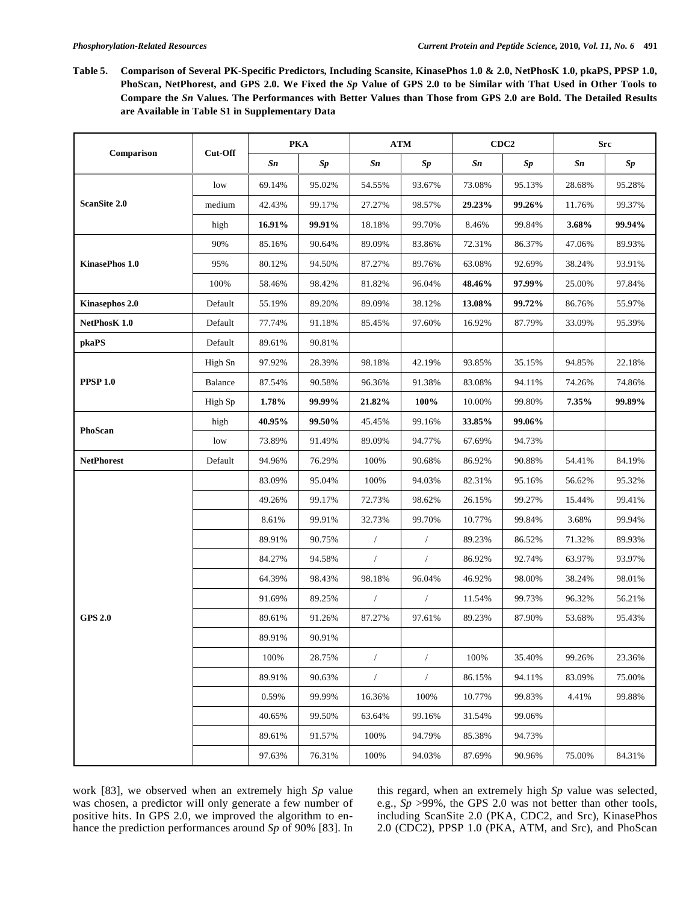**Table 5. Comparison of Several PK-Specific Predictors, Including Scansite, KinasePhos 1.0 & 2.0, NetPhosK 1.0, pkaPS, PPSP 1.0, PhoScan, NetPhorest, and GPS 2.0. We Fixed the** *Sp* **Value of GPS 2.0 to be Similar with That Used in Other Tools to Compare the** *Sn* **Values. The Performances with Better Values than Those from GPS 2.0 are Bold. The Detailed Results are Available in Table S1 in Supplementary Data** 

|                     | Cut-Off | <b>PKA</b> |               | <b>ATM</b> |                      | CDC <sub>2</sub> |               | <b>Src</b> |               |
|---------------------|---------|------------|---------------|------------|----------------------|------------------|---------------|------------|---------------|
| Comparison          |         | Sn         | $\mathit{Sp}$ | Sn         | $\mathit{Sp}$        | Sn               | $\mathit{Sp}$ | Sn         | $\mathit{Sp}$ |
|                     | low     | 69.14%     | 95.02%        | 54.55%     | 93.67%               | 73.08%           | 95.13%        | 28.68%     | 95.28%        |
| <b>ScanSite 2.0</b> | medium  | 42.43%     | 99.17%        | 27.27%     | 98.57%               | 29.23%           | 99.26%        | 11.76%     | 99.37%        |
|                     | high    | 16.91%     | 99.91%        | 18.18%     | 99.70%               | 8.46%            | 99.84%        | 3.68%      | 99.94%        |
|                     | 90%     | 85.16%     | 90.64%        | 89.09%     | 83.86%               | 72.31%           | 86.37%        | 47.06%     | 89.93%        |
| KinasePhos 1.0      | 95%     | 80.12%     | 94.50%        | 87.27%     | 89.76%               | 63.08%           | 92.69%        | 38.24%     | 93.91%        |
|                     | 100%    | 58.46%     | 98.42%        | 81.82%     | 96.04%               | 48.46%           | 97.99%        | 25.00%     | 97.84%        |
| Kinasephos 2.0      | Default | 55.19%     | 89.20%        | 89.09%     | 38.12%               | 13.08%           | 99.72%        | 86.76%     | 55.97%        |
| NetPhosK 1.0        | Default | 77.74%     | 91.18%        | 85.45%     | 97.60%               | 16.92%           | 87.79%        | 33.09%     | 95.39%        |
| pkaPS               | Default | 89.61%     | 90.81%        |            |                      |                  |               |            |               |
|                     | High Sn | 97.92%     | 28.39%        | 98.18%     | 42.19%               | 93.85%           | 35.15%        | 94.85%     | 22.18%        |
| <b>PPSP 1.0</b>     | Balance | 87.54%     | 90.58%        | 96.36%     | 91.38%               | 83.08%           | 94.11%        | 74.26%     | 74.86%        |
|                     | High Sp | 1.78%      | 99.99%        | 21.82%     | 100%                 | $10.00\%$        | 99.80%        | 7.35%      | 99.89%        |
| PhoScan             | high    | 40.95%     | 99.50%        | 45.45%     | 99.16%               | 33.85%           | 99.06%        |            |               |
|                     | low     | 73.89%     | 91.49%        | 89.09%     | 94.77%               | 67.69%           | 94.73%        |            |               |
| <b>NetPhorest</b>   | Default | 94.96%     | 76.29%        | 100%       | 90.68%               | 86.92%           | 90.88%        | 54.41%     | 84.19%        |
|                     |         | 83.09%     | 95.04%        | 100%       | 94.03%               | 82.31%           | 95.16%        | 56.62%     | 95.32%        |
|                     |         | 49.26%     | 99.17%        | 72.73%     | 98.62%               | 26.15%           | 99.27%        | 15.44%     | 99.41%        |
|                     |         | 8.61%      | 99.91%        | 32.73%     | 99.70%               | 10.77%           | 99.84%        | 3.68%      | 99.94%        |
|                     |         | 89.91%     | 90.75%        | $\sqrt{2}$ | $\sqrt{2}$           | 89.23%           | 86.52%        | 71.32%     | 89.93%        |
|                     |         | 84.27%     | 94.58%        | $\sqrt{2}$ | $\sqrt{2}$           | 86.92%           | 92.74%        | 63.97%     | 93.97%        |
|                     |         | 64.39%     | 98.43%        | 98.18%     | 96.04%               | 46.92%           | 98.00%        | 38.24%     | 98.01%        |
|                     |         | 91.69%     | 89.25%        | $\sqrt{2}$ | $\sqrt{2}$           | 11.54%           | 99.73%        | 96.32%     | 56.21%        |
| <b>GPS 2.0</b>      |         | 89.61%     | 91.26%        | 87.27%     | 97.61%               | 89.23%           | 87.90%        | 53.68%     | 95.43%        |
|                     |         | 89.91%     | 90.91%        |            |                      |                  |               |            |               |
|                     |         | 100%       | 28.75%        | $\sqrt{2}$ | $\sqrt{2}$           | 100%             | 35.40%        | 99.26%     | 23.36%        |
|                     |         | 89.91%     | 90.63%        | $\sqrt{ }$ | $\sqrt{\phantom{a}}$ | 86.15%           | 94.11%        | 83.09%     | 75.00%        |
|                     |         | 0.59%      | 99.99%        | 16.36%     | 100%                 | 10.77%           | 99.83%        | 4.41%      | 99.88%        |
|                     |         | 40.65%     | 99.50%        | 63.64%     | 99.16%               | 31.54%           | 99.06%        |            |               |
|                     |         | 89.61%     | 91.57%        | 100%       | 94.79%               | 85.38%           | 94.73%        |            |               |
|                     |         | 97.63%     | 76.31%        | 100%       | 94.03%               | 87.69%           | 90.96%        | 75.00%     | 84.31%        |

work [83], we observed when an extremely high *Sp* value was chosen, a predictor will only generate a few number of positive hits. In GPS 2.0, we improved the algorithm to enhance the prediction performances around *Sp* of 90% [83]. In this regard, when an extremely high *Sp* value was selected, e.g., *Sp* >99%, the GPS 2.0 was not better than other tools, including ScanSite 2.0 (PKA, CDC2, and Src), KinasePhos 2.0 (CDC2), PPSP 1.0 (PKA, ATM, and Src), and PhoScan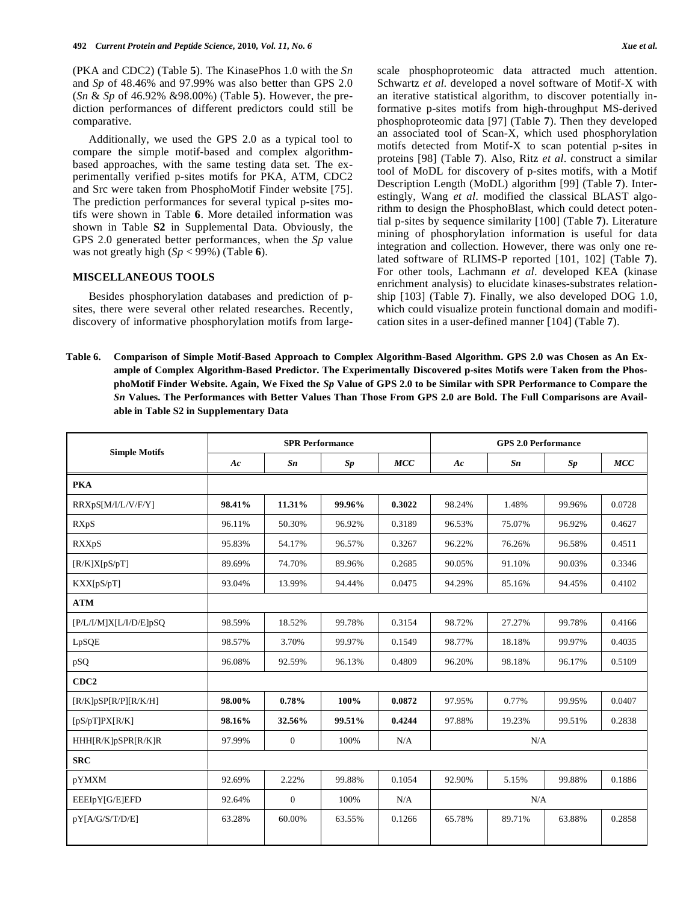(PKA and CDC2) (Table **5**). The KinasePhos 1.0 with the *Sn* and *Sp* of 48.46% and 97.99% was also better than GPS 2.0 (*Sn* & *Sp* of 46.92% &98.00%) (Table **5**). However, the prediction performances of different predictors could still be comparative.

 Additionally, we used the GPS 2.0 as a typical tool to compare the simple motif-based and complex algorithmbased approaches, with the same testing data set. The experimentally verified p-sites motifs for PKA, ATM, CDC2 and Src were taken from PhosphoMotif Finder website [75]. The prediction performances for several typical p-sites motifs were shown in Table **6**. More detailed information was shown in Table **S2** in Supplemental Data. Obviously, the GPS 2.0 generated better performances, when the *Sp* value was not greatly high (*Sp* < 99%) (Table **6**).

# **MISCELLANEOUS TOOLS**

 Besides phosphorylation databases and prediction of psites, there were several other related researches. Recently, discovery of informative phosphorylation motifs from largescale phosphoproteomic data attracted much attention. Schwartz *et al*. developed a novel software of Motif-X with an iterative statistical algorithm, to discover potentially informative p-sites motifs from high-throughput MS-derived phosphoproteomic data [97] (Table **7**). Then they developed an associated tool of Scan-X, which used phosphorylation motifs detected from Motif-X to scan potential p-sites in proteins [98] (Table **7**). Also, Ritz *et al*. construct a similar tool of MoDL for discovery of p-sites motifs, with a Motif Description Length (MoDL) algorithm [99] (Table **7**). Interestingly, Wang *et al*. modified the classical BLAST algorithm to design the PhosphoBlast, which could detect potential p-sites by sequence similarity [100] (Table **7**). Literature mining of phosphorylation information is useful for data integration and collection. However, there was only one related software of RLIMS-P reported [101, 102] (Table **7**). For other tools, Lachmann *et al*. developed KEA (kinase enrichment analysis) to elucidate kinases-substrates relationship [103] (Table **7**). Finally, we also developed DOG 1.0, which could visualize protein functional domain and modification sites in a user-defined manner [104] (Table **7**).

**Table 6. Comparison of Simple Motif-Based Approach to Complex Algorithm-Based Algorithm. GPS 2.0 was Chosen as An Example of Complex Algorithm-Based Predictor. The Experimentally Discovered p-sites Motifs were Taken from the PhosphoMotif Finder Website. Again, We Fixed the** *Sp* **Value of GPS 2.0 to be Similar with SPR Performance to Compare the**  *Sn* **Values. The Performances with Better Values Than Those From GPS 2.0 are Bold. The Full Comparisons are Available in Table S2 in Supplementary Data** 

|                            |        | <b>SPR Performance</b> |        |        |        | <b>GPS 2.0 Performance</b> |        |        |  |
|----------------------------|--------|------------------------|--------|--------|--------|----------------------------|--------|--------|--|
| <b>Simple Motifs</b>       | Ac     | Sn                     | Sp     | MCC    | Ac     | Sn                         | Sp     | MCC    |  |
| <b>PKA</b>                 |        |                        |        |        |        |                            |        |        |  |
| RRXpS[M/I/L/V/F/Y]         | 98.41% | 11.31%                 | 99.96% | 0.3022 | 98.24% | 1.48%                      | 99.96% | 0.0728 |  |
| RXpS                       | 96.11% | 50.30%                 | 96.92% | 0.3189 | 96.53% | 75.07%                     | 96.92% | 0.4627 |  |
| <b>RXXpS</b>               | 95.83% | 54.17%                 | 96.57% | 0.3267 | 96.22% | 76.26%                     | 96.58% | 0.4511 |  |
| [R/K]X[pS/pT]              | 89.69% | 74.70%                 | 89.96% | 0.2685 | 90.05% | 91.10%                     | 90.03% | 0.3346 |  |
| KXX[pS/pT]                 | 93.04% | 13.99%                 | 94.44% | 0.0475 | 94.29% | 85.16%                     | 94.45% | 0.4102 |  |
| <b>ATM</b>                 |        |                        |        |        |        |                            |        |        |  |
| [P/L/I/M]X[L/I/D/E]pSQ     | 98.59% | 18.52%                 | 99.78% | 0.3154 | 98.72% | 27.27%                     | 99.78% | 0.4166 |  |
| LpSQE                      | 98.57% | 3.70%                  | 99.97% | 0.1549 | 98.77% | 18.18%                     | 99.97% | 0.4035 |  |
| pSQ                        | 96.08% | 92.59%                 | 96.13% | 0.4809 | 96.20% | 98.18%                     | 96.17% | 0.5109 |  |
| CDC <sub>2</sub>           |        |                        |        |        |        |                            |        |        |  |
| $[R/K]$ pSP $[R/P][R/K/H]$ | 98.00% | 0.78%                  | 100%   | 0.0872 | 97.95% | 0.77%                      | 99.95% | 0.0407 |  |
| [pS/pT]PX[R/K]             | 98.16% | 32.56%                 | 99.51% | 0.4244 | 97.88% | 19.23%                     | 99.51% | 0.2838 |  |
| HHH[R/K]pSPR[R/K]R         | 97.99% | $\boldsymbol{0}$       | 100%   | N/A    | N/A    |                            |        |        |  |
| <b>SRC</b>                 |        |                        |        |        |        |                            |        |        |  |
| pYMXM                      | 92.69% | 2.22%                  | 99.88% | 0.1054 | 92.90% | 5.15%                      | 99.88% | 0.1886 |  |
| EEEIpY[G/E]EFD             | 92.64% | $\overline{0}$         | 100%   | N/A    | N/A    |                            |        |        |  |
| pY[A/G/S/T/D/E]            | 63.28% | 60.00%                 | 63.55% | 0.1266 | 65.78% | 89.71%                     | 63.88% | 0.2858 |  |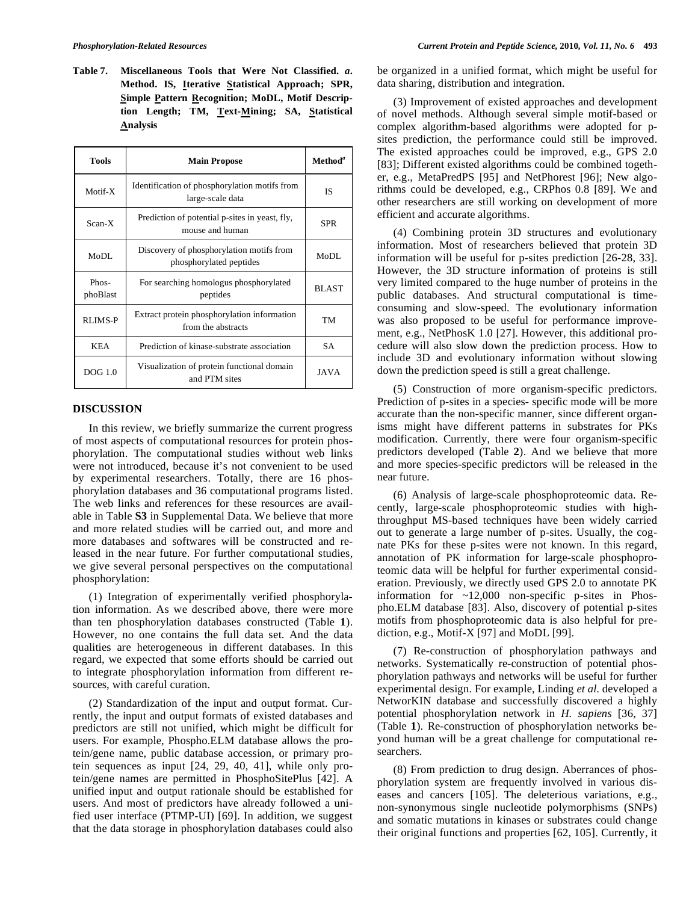**Table 7. Miscellaneous Tools that Were Not Classified.** *a***. Method. IS, Iterative Statistical Approach; SPR, Simple Pattern Recognition; MoDL, Motif Description Length; TM, Text-Mining; SA, Statistical Analysis** 

| <b>Tools</b>        | <b>Main Propose</b>                                                 | Method <sup>a</sup> |
|---------------------|---------------------------------------------------------------------|---------------------|
| Motif-X             | Identification of phosphorylation motifs from<br>large-scale data   | ΙS                  |
| Scan-X              | Prediction of potential p-sites in yeast, fly,<br>mouse and human   | SPR                 |
| MoDL                | Discovery of phosphorylation motifs from<br>phosphorylated peptides | MoDL                |
| $Phos-$<br>phoBlast | For searching homologus phosphorylated<br>peptides                  | <b>BLAST</b>        |
| RLIMS-P             | Extract protein phosphorylation information<br>from the abstracts   | TM                  |
| <b>KEA</b>          | Prediction of kinase-substrate association                          | <b>SA</b>           |
| $DOG$ 1.0           | Visualization of protein functional domain<br>and PTM sites         | <b>JAVA</b>         |

## **DISCUSSION**

 In this review, we briefly summarize the current progress of most aspects of computational resources for protein phosphorylation. The computational studies without web links were not introduced, because it's not convenient to be used by experimental researchers. Totally, there are 16 phosphorylation databases and 36 computational programs listed. The web links and references for these resources are available in Table **S3** in Supplemental Data. We believe that more and more related studies will be carried out, and more and more databases and softwares will be constructed and released in the near future. For further computational studies, we give several personal perspectives on the computational phosphorylation:

 (1) Integration of experimentally verified phosphorylation information. As we described above, there were more than ten phosphorylation databases constructed (Table **1**). However, no one contains the full data set. And the data qualities are heterogeneous in different databases. In this regard, we expected that some efforts should be carried out to integrate phosphorylation information from different resources, with careful curation.

 (2) Standardization of the input and output format. Currently, the input and output formats of existed databases and predictors are still not unified, which might be difficult for users. For example, Phospho.ELM database allows the protein/gene name, public database accession, or primary protein sequences as input [24, 29, 40, 41], while only protein/gene names are permitted in PhosphoSitePlus [42]. A unified input and output rationale should be established for users. And most of predictors have already followed a unified user interface (PTMP-UI) [69]. In addition, we suggest that the data storage in phosphorylation databases could also be organized in a unified format, which might be useful for data sharing, distribution and integration.

 (3) Improvement of existed approaches and development of novel methods. Although several simple motif-based or complex algorithm-based algorithms were adopted for psites prediction, the performance could still be improved. The existed approaches could be improved, e.g., GPS 2.0 [83]; Different existed algorithms could be combined together, e.g., MetaPredPS [95] and NetPhorest [96]; New algorithms could be developed, e.g., CRPhos 0.8 [89]. We and other researchers are still working on development of more efficient and accurate algorithms.

 (4) Combining protein 3D structures and evolutionary information. Most of researchers believed that protein 3D information will be useful for p-sites prediction [26-28, 33]. However, the 3D structure information of proteins is still very limited compared to the huge number of proteins in the public databases. And structural computational is timeconsuming and slow-speed. The evolutionary information was also proposed to be useful for performance improvement, e.g., NetPhosK 1.0 [27]. However, this additional procedure will also slow down the prediction process. How to include 3D and evolutionary information without slowing down the prediction speed is still a great challenge.

 (5) Construction of more organism-specific predictors. Prediction of p-sites in a species- specific mode will be more accurate than the non-specific manner, since different organisms might have different patterns in substrates for PKs modification. Currently, there were four organism-specific predictors developed (Table **2**). And we believe that more and more species-specific predictors will be released in the near future.

 (6) Analysis of large-scale phosphoproteomic data. Recently, large-scale phosphoproteomic studies with highthroughput MS-based techniques have been widely carried out to generate a large number of p-sites. Usually, the cognate PKs for these p-sites were not known. In this regard, annotation of PK information for large-scale phosphoproteomic data will be helpful for further experimental consideration. Previously, we directly used GPS 2.0 to annotate PK information for ~12,000 non-specific p-sites in Phospho.ELM database [83]. Also, discovery of potential p-sites motifs from phosphoproteomic data is also helpful for prediction, e.g., Motif-X [97] and MoDL [99].

 (7) Re-construction of phosphorylation pathways and networks. Systematically re-construction of potential phosphorylation pathways and networks will be useful for further experimental design. For example, Linding *et al*. developed a NetworKIN database and successfully discovered a highly potential phosphorylation network in *H. sapiens* [36, 37] (Table **1**). Re-construction of phosphorylation networks beyond human will be a great challenge for computational researchers.

 (8) From prediction to drug design. Aberrances of phosphorylation system are frequently involved in various diseases and cancers [105]. The deleterious variations, e.g., non-synonymous single nucleotide polymorphisms (SNPs) and somatic mutations in kinases or substrates could change their original functions and properties [62, 105]. Currently, it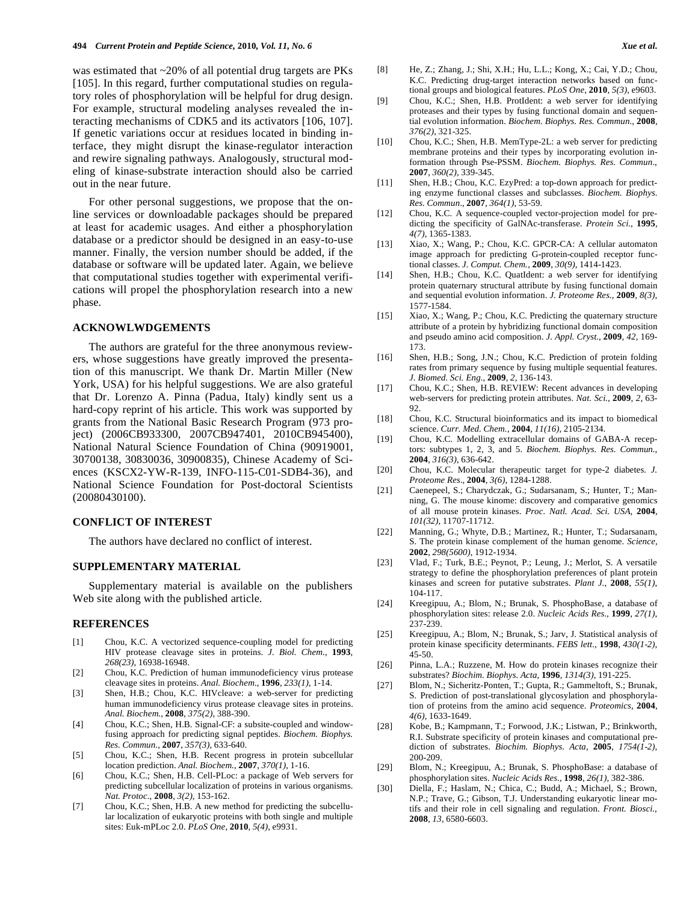was estimated that ~20% of all potential drug targets are PKs [105]. In this regard, further computational studies on regulatory roles of phosphorylation will be helpful for drug design. For example, structural modeling analyses revealed the interacting mechanisms of CDK5 and its activators [106, 107]. If genetic variations occur at residues located in binding interface, they might disrupt the kinase-regulator interaction and rewire signaling pathways. Analogously, structural modeling of kinase-substrate interaction should also be carried out in the near future.

 For other personal suggestions, we propose that the online services or downloadable packages should be prepared at least for academic usages. And either a phosphorylation database or a predictor should be designed in an easy-to-use manner. Finally, the version number should be added, if the database or software will be updated later. Again, we believe that computational studies together with experimental verifications will propel the phosphorylation research into a new phase.

#### **ACKNOWLWDGEMENTS**

 The authors are grateful for the three anonymous reviewers, whose suggestions have greatly improved the presentation of this manuscript. We thank Dr. Martin Miller (New York, USA) for his helpful suggestions. We are also grateful that Dr. Lorenzo A. Pinna (Padua, Italy) kindly sent us a hard-copy reprint of his article. This work was supported by grants from the National Basic Research Program (973 project) (2006CB933300, 2007CB947401, 2010CB945400), National Natural Science Foundation of China (90919001, 30700138, 30830036, 30900835), Chinese Academy of Sciences (KSCX2-YW-R-139, INFO-115-C01-SDB4-36), and National Science Foundation for Post-doctoral Scientists (20080430100).

### **CONFLICT OF INTEREST**

The authors have declared no conflict of interest.

## **SUPPLEMENTARY MATERIAL**

 Supplementary material is available on the publishers Web site along with the published article.

#### **REFERENCES**

- [1] Chou, K.C. A vectorized sequence-coupling model for predicting HIV protease cleavage sites in proteins. *J. Biol. Chem.*, **1993**, *268(23)*, 16938-16948.
- [2] Chou, K.C. Prediction of human immunodeficiency virus protease cleavage sites in proteins. *Anal. Biochem*., **1996**, *233(1)*, 1-14.
- [3] Shen, H.B.; Chou, K.C. HIVcleave: a web-server for predicting human immunodeficiency virus protease cleavage sites in proteins. *Anal. Biochem.*, **2008**, *375(2)*, 388-390.
- [4] Chou, K.C.; Shen, H.B. Signal-CF: a subsite-coupled and windowfusing approach for predicting signal peptides. *Biochem. Biophys. Res. Commun.*, **2007**, *357(3)*, 633-640.
- [5] Chou, K.C.; Shen, H.B. Recent progress in protein subcellular location prediction. *Anal. Biochem.*, **2007**, *370(1)*, 1-16.
- [6] Chou, K.C.; Shen, H.B. Cell-PLoc: a package of Web servers for predicting subcellular localization of proteins in various organisms. *Nat. Protoc.*, **2008**, *3(2)*, 153-162.
- [7] Chou, K.C.; Shen, H.B. A new method for predicting the subcellular localization of eukaryotic proteins with both single and multiple sites: Euk-mPLoc 2.0. *PLoS One*, **2010**, *5(4)*, e9931.
- [8] He, Z.; Zhang, J.; Shi, X.H.; Hu, L.L.; Kong, X.; Cai, Y.D.; Chou, K.C. Predicting drug-target interaction networks based on functional groups and biological features. *PLoS One*, **2010**, *5(3)*, e9603.
- [9] Chou, K.C.; Shen, H.B. ProtIdent: a web server for identifying proteases and their types by fusing functional domain and sequential evolution information. *Biochem. Biophys. Res. Commun.*, **2008**, *376(2)*, 321-325.
- [10] Chou, K.C.; Shen, H.B. MemType-2L: a web server for predicting membrane proteins and their types by incorporating evolution information through Pse-PSSM. *Biochem. Biophys. Res. Commun*., **2007**, *360(2)*, 339-345.
- [11] Shen, H.B.; Chou, K.C. EzyPred: a top-down approach for predicting enzyme functional classes and subclasses. *Biochem. Biophys. Res. Commun*., **2007**, *364(1)*, 53-59.
- [12] Chou, K.C. A sequence-coupled vector-projection model for predicting the specificity of GalNAc-transferase. *Protein Sci.*, **1995**, *4(7)*, 1365-1383.
- [13] Xiao, X.; Wang, P.; Chou, K.C. GPCR-CA: A cellular automaton image approach for predicting G-protein-coupled receptor functional classes. *J. Comput. Chem.*, **2009**, *30(9)*, 1414-1423.
- [14] Shen, H.B.; Chou, K.C. QuatIdent: a web server for identifying protein quaternary structural attribute by fusing functional domain and sequential evolution information. *J. Proteome Res.*, **2009**, *8(3)*, 1577-1584.
- [15] Xiao, X.; Wang, P.; Chou, K.C. Predicting the quaternary structure attribute of a protein by hybridizing functional domain composition and pseudo amino acid composition. *J. Appl. Cryst.*, **2009**, *42*, 169- 173.
- [16] Shen, H.B.; Song, J.N.; Chou, K.C. Prediction of protein folding rates from primary sequence by fusing multiple sequential features. *J. Biomed. Sci. Eng.*, **2009**, *2*, 136-143.
- [17] Chou, K.C.; Shen, H.B. REVIEW: Recent advances in developing web-servers for predicting protein attributes. *Nat. Sci.*, **2009**, *2*, 63- 92.
- [18] Chou, K.C. Structural bioinformatics and its impact to biomedical science. *Curr. Med. Chem.*, **2004**, *11(16)*, 2105-2134.
- [19] Chou, K.C. Modelling extracellular domains of GABA-A receptors: subtypes 1, 2, 3, and 5. *Biochem. Biophys. Res. Commun.*, **2004**, *316(3)*, 636-642.
- [20] Chou, K.C. Molecular therapeutic target for type-2 diabetes. *J. Proteome Res*., **2004**, *3(6)*, 1284-1288.
- [21] Caenepeel, S.; Charydczak, G.; Sudarsanam, S.; Hunter, T.; Manning, G. The mouse kinome: discovery and comparative genomics of all mouse protein kinases. *Proc. Natl. Acad. Sci. USA*, **2004**, *101(32)*, 11707-11712.
- [22] Manning, G.; Whyte, D.B.; Martinez, R.; Hunter, T.; Sudarsanam, S. The protein kinase complement of the human genome. *Science*, **2002**, *298(5600)*, 1912-1934.
- [23] Vlad, F.; Turk, B.E.; Peynot, P.; Leung, J.; Merlot, S. A versatile strategy to define the phosphorylation preferences of plant protein kinases and screen for putative substrates. *Plant J.*, **2008**, *55(1)*, 104-117.
- [24] Kreegipuu, A.; Blom, N.; Brunak, S. PhosphoBase, a database of phosphorylation sites: release 2.0. *Nucleic Acids Res.*, **1999**, *27(1)*, 237-239.
- [25] Kreegipuu, A.; Blom, N.; Brunak, S.; Jarv, J. Statistical analysis of protein kinase specificity determinants. *FEBS lett.*, **1998**, *430(1-2)*, 45-50.
- [26] Pinna, L.A.; Ruzzene, M. How do protein kinases recognize their substrates? *Biochim. Biophys. Acta*, **1996**, *1314(3)*, 191-225.
- [27] Blom, N.; Sicheritz-Ponten, T.; Gupta, R.; Gammeltoft, S.; Brunak, S. Prediction of post-translational glycosylation and phosphorylation of proteins from the amino acid sequence. *Proteomics*, **2004**, *4(6)*, 1633-1649.
- [28] Kobe, B.; Kampmann, T.; Forwood, J.K.; Listwan, P.; Brinkworth, R.I. Substrate specificity of protein kinases and computational prediction of substrates. *Biochim. Biophys. Acta*, **2005**, *1754(1-2)*, 200-209.
- [29] Blom, N.; Kreegipuu, A.; Brunak, S. PhosphoBase: a database of phosphorylation sites. *Nucleic Acids Res.*, **1998**, *26(1)*, 382-386.
- [30] Diella, F.; Haslam, N.; Chica, C.; Budd, A.; Michael, S.; Brown, N.P.; Trave, G.; Gibson, T.J. Understanding eukaryotic linear motifs and their role in cell signaling and regulation. *Front. Biosci.*, **2008**, *13*, 6580-6603.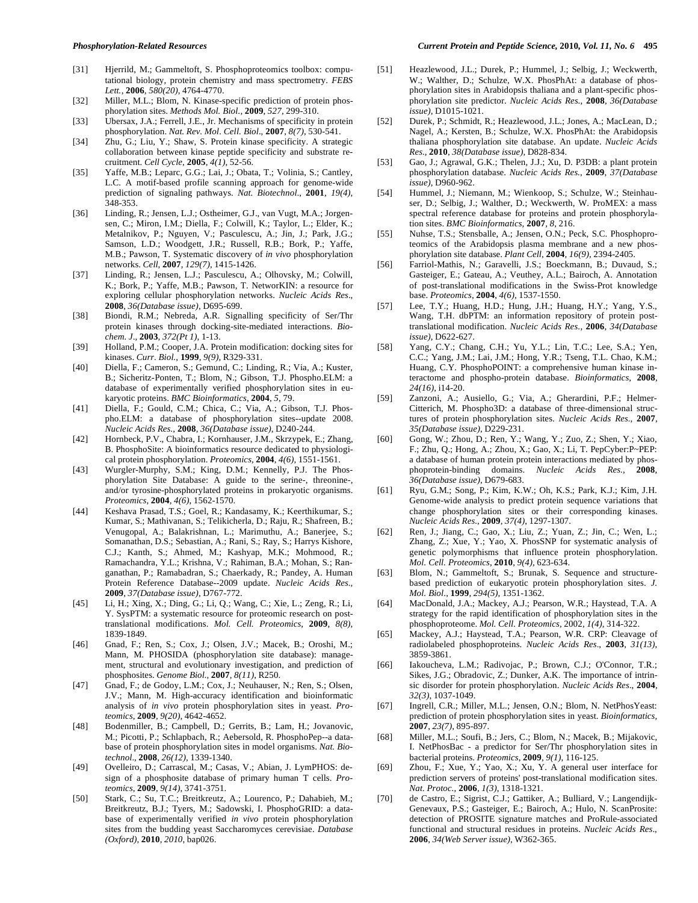- [31] Hjerrild, M.; Gammeltoft, S. Phosphoproteomics toolbox: computational biology, protein chemistry and mass spectrometry. *FEBS Lett.*, **2006**, *580(20)*, 4764-4770.
- [32] Miller, M.L.; Blom, N. Kinase-specific prediction of protein phosphorylation sites. *Methods Mol. Biol*., **2009**, *527*, 299-310.
- [33] Ubersax, J.A.; Ferrell, J.E., Jr. Mechanisms of specificity in protein phosphorylation. *Nat. Rev. Mol. Cell. Biol*., **2007**, *8(7)*, 530-541.
- [34] Zhu, G.; Liu, Y.; Shaw, S. Protein kinase specificity. A strategic collaboration between kinase peptide specificity and substrate recruitment. *Cell Cycle*, **2005**, *4(1)*, 52-56.
- [35] Yaffe, M.B.; Leparc, G.G.; Lai, J.; Obata, T.; Volinia, S.; Cantley, L.C. A motif-based profile scanning approach for genome-wide prediction of signaling pathways. *Nat. Biotechnol*., **2001**, *19(4)*, 348-353.
- [36] Linding, R.; Jensen, L.J.; Ostheimer, G.J., van Vugt, M.A.; Jorgensen, C.; Miron, I.M.; Diella, F.; Colwill, K.; Taylor, L.; Elder, K.; Metalnikov, P.; Nguyen, V.; Pasculescu, A.; Jin, J.; Park, J.G.; Samson, L.D.; Woodgett, J.R.; Russell, R.B.; Bork, P.; Yaffe, M.B.; Pawson, T. Systematic discovery of *in vivo* phosphorylation networks. *Cell*, **2007**, *129(7)*, 1415-1426.
- [37] Linding, R.; Jensen, L.J.; Pasculescu, A.; Olhovsky, M.; Colwill, K.; Bork, P.; Yaffe, M.B.; Pawson, T. NetworKIN: a resource for exploring cellular phosphorylation networks. *Nucleic Acids Res*., **2008**, *36(Database issue)*, D695-699.
- [38] Biondi, R.M.; Nebreda, A.R. Signalling specificity of Ser/Thr protein kinases through docking-site-mediated interactions. *Biochem. J*., **2003**, *372(Pt 1)*, 1-13.
- [39] Holland, P.M.; Cooper, J.A. Protein modification: docking sites for kinases. *Curr. Biol.*, **1999**, *9(9)*, R329-331.
- [40] Diella, F.; Cameron, S.; Gemund, C.; Linding, R.; Via, A.; Kuster, B.; Sicheritz-Ponten, T.; Blom, N.; Gibson, T.J. Phospho.ELM: a database of experimentally verified phosphorylation sites in eukaryotic proteins. *BMC Bioinformatics*, **2004**, *5*, 79.
- [41] Diella, F.; Gould, C.M.; Chica, C.; Via, A.; Gibson, T.J. Phospho.ELM: a database of phosphorylation sites--update 2008. *Nucleic Acids Res.*, **2008**, *36(Database issue)*, D240-244.
- [42] Hornbeck, P.V., Chabra, I.; Kornhauser, J.M., Skrzypek, E.; Zhang, B. PhosphoSite: A bioinformatics resource dedicated to physiological protein phosphorylation. *Proteomics*, **2004**, *4(6)*, 1551-1561.
- [43] Wurgler-Murphy, S.M.; King, D.M.; Kennelly, P.J. The Phosphorylation Site Database: A guide to the serine-, threonine-, and/or tyrosine-phosphorylated proteins in prokaryotic organisms. *Proteomics*, **2004**, *4(6)*, 1562-1570.
- [44] Keshava Prasad, T.S.; Goel, R.; Kandasamy, K.; Keerthikumar, S.; Kumar, S.; Mathivanan, S.; Telikicherla, D.; Raju, R.; Shafreen, B.; Venugopal, A.; Balakrishnan, L.; Marimuthu, A.; Banerjee, S.; Somanathan, D.S.; Sebastian, A.; Rani, S.; Ray, S.; Harrys Kishore, C.J.; Kanth, S.; Ahmed, M.; Kashyap, M.K.; Mohmood, R.; Ramachandra, Y.L.; Krishna, V.; Rahiman, B.A.; Mohan, S.; Ranganathan, P.; Ramabadran, S.; Chaerkady, R.; Pandey, A. Human Protein Reference Database--2009 update. *Nucleic Acids Res.*, **2009**, *37(Database issue)*, D767-772.
- [45] Li, H.; Xing, X.; Ding, G.; Li, Q.; Wang, C.; Xie, L.; Zeng, R.; Li, Y. SysPTM: a systematic resource for proteomic research on posttranslational modifications. *Mol. Cell. Proteomics*, **2009**, *8(8)*, 1839-1849.
- [46] Gnad, F.; Ren, S.; Cox, J.; Olsen, J.V.; Macek, B.; Oroshi, M.; Mann, M. PHOSIDA (phosphorylation site database): management, structural and evolutionary investigation, and prediction of phosphosites. *Genome Biol.*, **2007**, *8(11)*, R250.
- [47] Gnad, F.; de Godoy, L.M.; Cox, J.; Neuhauser, N.; Ren, S.; Olsen, J.V.; Mann, M. High-accuracy identification and bioinformatic analysis of *in vivo* protein phosphorylation sites in yeast. *Proteomics*, **2009**, *9(20)*, 4642-4652.
- [48] Bodenmiller, B.; Campbell, D.; Gerrits, B.; Lam, H.; Jovanovic, M.; Picotti, P.; Schlapbach, R.; Aebersold, R. PhosphoPep--a database of protein phosphorylation sites in model organisms. *Nat. Biotechnol*., **2008**, *26(12)*, 1339-1340.
- [49] Ovelleiro, D.; Carrascal, M.; Casas, V.; Abian, J. LymPHOS: design of a phosphosite database of primary human T cells. *Proteomics*, **2009**, *9(14)*, 3741-3751.
- [50] Stark, C.; Su, T.C.; Breitkreutz, A.; Lourenco, P.; Dahabieh, M.; Breitkreutz, B.J.; Tyers, M.; Sadowski, I. PhosphoGRID: a database of experimentally verified *in vivo* protein phosphorylation sites from the budding yeast Saccharomyces cerevisiae. *Database (Oxford)*, **2010**, *2010*, bap026.
- [51] Heazlewood, J.L.; Durek, P.; Hummel, J.; Selbig, J.; Weckwerth, W.; Walther, D.; Schulze, W.X. PhosPhAt: a database of phosphorylation sites in Arabidopsis thaliana and a plant-specific phosphorylation site predictor. *Nucleic Acids Res.*, **2008**, *36(Database issue)*, D1015-1021.
- [52] Durek, P.; Schmidt, R.; Heazlewood, J.L.; Jones, A.; MacLean, D.; Nagel, A.; Kersten, B.; Schulze, W.X. PhosPhAt: the Arabidopsis thaliana phosphorylation site database. An update. *Nucleic Acids Res.*, **2010**, *38(Database issue)*, D828-834.
- [53] Gao, J.; Agrawal, G.K.; Thelen, J.J.; Xu, D. P3DB: a plant protein phosphorylation database. *Nucleic Acids Res.*, **2009**, *37(Database issue)*, D960-962.
- [54] Hummel, J.; Niemann, M.; Wienkoop, S.; Schulze, W.; Steinhauser, D.; Selbig, J.; Walther, D.; Weckwerth, W. ProMEX: a mass spectral reference database for proteins and protein phosphorylation sites. *BMC Bioinformatics*, **2007**, *8*, 216.
- [55] Nuhse, T.S.; Stensballe, A.; Jensen, O.N.; Peck, S.C. Phosphoproteomics of the Arabidopsis plasma membrane and a new phosphorylation site database. *Plant Cell*, **2004**, *16(9)*, 2394-2405.
- [56] Farriol-Mathis, N.; Garavelli, J.S.; Boeckmann, B.; Duvaud, S.; Gasteiger, E.; Gateau, A.; Veuthey, A.L.; Bairoch, A. Annotation of post-translational modifications in the Swiss-Prot knowledge base. *Proteomics*, **2004**, *4(6)*, 1537-1550.
- [57] Lee, T.Y.; Huang, H.D.; Hung, J.H.; Huang, H.Y.; Yang, Y.S., Wang, T.H. dbPTM: an information repository of protein posttranslational modification. *Nucleic Acids Res*., **2006**, *34(Database issue)*, D622-627.
- [58] Yang, C.Y.; Chang, C.H.; Yu, Y.L.; Lin, T.C.; Lee, S.A.; Yen, C.C.; Yang, J.M.; Lai, J.M.; Hong, Y.R.; Tseng, T.L. Chao, K.M.; Huang, C.Y. PhosphoPOINT: a comprehensive human kinase interactome and phospho-protein database. *Bioinformatics*, **2008**, *24(16)*, i14-20.
- [59] Zanzoni, A.; Ausiello, G.; Via, A.; Gherardini, P.F.; Helmer-Citterich, M. Phospho3D: a database of three-dimensional structures of protein phosphorylation sites. *Nucleic Acids Res.*, **2007**, *35(Database issue)*, D229-231.
- [60] Gong, W.; Zhou, D.; Ren, Y.; Wang, Y.; Zuo, Z.; Shen, Y.; Xiao, F.; Zhu, Q.; Hong, A.; Zhou, X.; Gao, X.; Li, T. PepCyber:P~PEP: a database of human protein protein interactions mediated by phosphoprotein-binding domains. *Nucleic Acids Res.*, **2008**, *36(Database issue)*, D679-683.
- [61] Ryu, G.M.; Song, P.; Kim, K.W.; Oh, K.S.; Park, K.J.; Kim, J.H. Genome-wide analysis to predict protein sequence variations that change phosphorylation sites or their corresponding kinases. *Nucleic Acids Res.*, **2009**, *37(4)*, 1297-1307.
- [62] Ren, J.; Jiang, C.; Gao, X.; Liu, Z.; Yuan, Z.; Jin, C.; Wen, L.; Zhang, Z.; Xue, Y.; Yao, X. PhosSNP for systematic analysis of genetic polymorphisms that influence protein phosphorylation. *Mol. Cell. Proteomics*, **2010**, *9(4)*, 623-634.
- [63] Blom, N.; Gammeltoft, S.; Brunak, S. Sequence and structurebased prediction of eukaryotic protein phosphorylation sites. *J. Mol. Biol*., **1999**, *294(5)*, 1351-1362.
- [64] MacDonald, J.A.; Mackey, A.J.; Pearson, W.R.; Haystead, T.A. A strategy for the rapid identification of phosphorylation sites in the phosphoproteome. *Mol. Cell. Proteomics*, 2002, *1(4)*, 314-322.
- [65] Mackey, A.J.; Haystead, T.A.; Pearson, W.R. CRP: Cleavage of radiolabeled phosphoproteins. *Nucleic Acids Res*., **2003**, *31(13)*, 3859-3861.
- [66] Iakoucheva, L.M.; Radivojac, P.; Brown, C.J.; O'Connor, T.R.; Sikes, J.G.; Obradovic, Z.; Dunker, A.K. The importance of intrinsic disorder for protein phosphorylation. *Nucleic Acids Res*., **2004**, *32(3)*, 1037-1049.
- [67] Ingrell, C.R.; Miller, M.L.; Jensen, O.N.; Blom, N. NetPhosYeast: prediction of protein phosphorylation sites in yeast. *Bioinformatics*, **2007**, *23(7)*, 895-897.
- [68] Miller, M.L.; Soufi, B.; Jers, C.; Blom, N.; Macek, B.; Mijakovic, I. NetPhosBac - a predictor for Ser/Thr phosphorylation sites in bacterial proteins. *Proteomics*, **2009**, *9(1)*, 116-125.
- [69] Zhou, F.; Xue, Y.; Yao, X.; Xu, Y. A general user interface for prediction servers of proteins' post-translational modification sites. *Nat. Protoc.*, **2006**, *1(3)*, 1318-1321.
- [70] de Castro, E.; Sigrist, C.J.; Gattiker, A.; Bulliard, V.; Langendijk-Genevaux, P.S.; Gasteiger, E.; Bairoch, A.; Hulo, N. ScanProsite: detection of PROSITE signature matches and ProRule-associated functional and structural residues in proteins. *Nucleic Acids Res*., **2006**, *34(Web Server issue)*, W362-365.